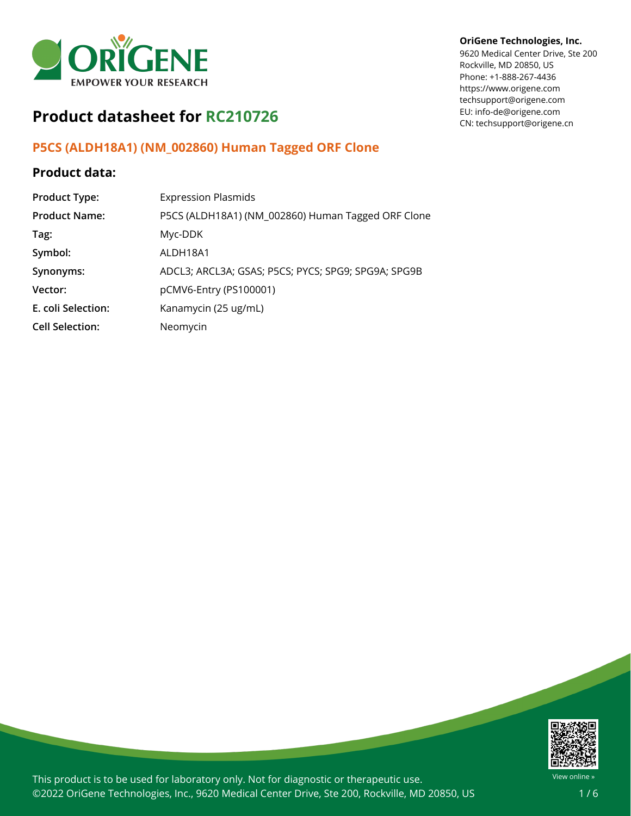

# **Product datasheet for RC210726**

## **P5CS (ALDH18A1) (NM\_002860) Human Tagged ORF Clone**

### **Product data:**

| <b>Product Type:</b>   | <b>Expression Plasmids</b>                          |
|------------------------|-----------------------------------------------------|
| <b>Product Name:</b>   | P5CS (ALDH18A1) (NM_002860) Human Tagged ORF Clone  |
| Tag:                   | Myc-DDK                                             |
| Symbol:                | ALDH18A1                                            |
| Synonyms:              | ADCL3; ARCL3A; GSAS; P5CS; PYCS; SPG9; SPG9A; SPG9B |
| Vector:                | pCMV6-Entry (PS100001)                              |
| E. coli Selection:     | Kanamycin (25 ug/mL)                                |
| <b>Cell Selection:</b> | Neomycin                                            |

### **OriGene Technologies, Inc.**

9620 Medical Center Drive, Ste 200 Rockville, MD 20850, US Phone: +1-888-267-4436 https://www.origene.com techsupport@origene.com EU: info-de@origene.com CN: techsupport@origene.cn



This product is to be used for laboratory only. Not for diagnostic or therapeutic use. ©2022 OriGene Technologies, Inc., 9620 Medical Center Drive, Ste 200, Rockville, MD 20850, US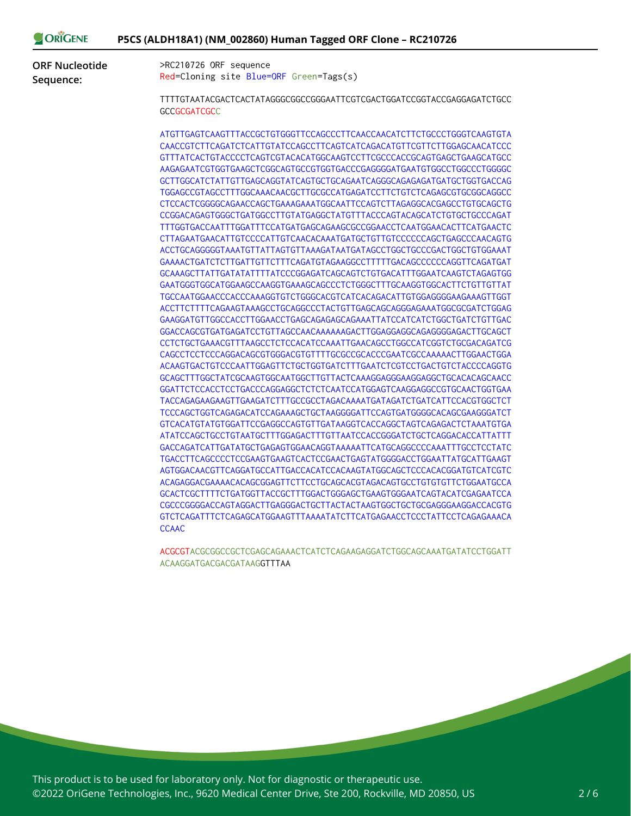| ORIGENE | P5CS (ALDH18A1) (NM_002860) Human Tagged ORF Clone - RC210726 |
|---------|---------------------------------------------------------------|
|---------|---------------------------------------------------------------|

**ORF Nucleotide Sequence:**

>RC210726 ORF sequence Red=Cloning site Blue=ORF Green=Tags(s)

TTTTGTAATACGACTCACTATAGGGCGGCCGGGAATTCGTCGACTGGATCCGGTACCGAGGAGATCTGCC **GCCGCGATCGCC** 

ATGTTGAGTCAAGTTTACCGCTGTGGGTTCCAGCCCTTCAACCAACATCTTCTGCCCTGGGTCAAGTGTA CAACCGTCTTCAGATCTCATTGTATCCAGCCTTCAGTCATCAGACATGTTCGTTCTTGGAGCAACATCCC GTTTATCACTGTACCCCTCAGTCGTACACATGGCAAGTCCTTCGCCCACCGCAGTGAGCTGAAGCATGCC AAGAGAATCGTGGTGAAGCTCGGCAGTGCCGTGGTGACCCGAGGGGATGAATGTGGCCTGGCCCTGGGGC GCTTGGCATCTATTGTTGAGCAGGTATCAGTGCTGCAGAATCAGGGCAGAGAGATGATGCTGGTGACCAG TGGAGCCGTAGCCTTTGGCAAACAACGCTTGCGCCATGAGATCCTTCTGTCTCAGAGCGTGCGGCAGGCC CTCCACTCGGGGCAGAACCAGCTGAAAGAAATGGCAATTCCAGTCTTAGAGGCACGAGCCTGTGCAGCTG CCGGACAGAGTGGGCTGATGGCCTTGTATGAGGCTATGTTTACCCAGTACAGCATCTGTGCTGCCCAGAT TTTGGTGACCAATTTGGATTTCCATGATGAGCAGAAGCGCCGGAACCTCAATGGAACACTTCATGAACTC CTTAGAATGAACATTGTCCCCATTGTCAACACAAATGATGCTGTTGTCCCCCCAGCTGAGCCCAACAGTG ACCTGCAGGGGGTAAATGTTATTAGTGTTAAAGATAATGATAGCCTGGCTGCCCGACTGGCTGTGGAAAT GAAAACTGATCTCTTGATTGTTCTTTCAGATGTAGAAGGCCTTTTTGACAGCCCCCCAGGTTCAGATGAT GCAAAGCTTATTGATATATTTTATCCCGGAGATCAGCAGTCTGTGACATTTGGAATCAAGTCTAGAGTGG GAATGGGTGGCATGGAAGCCAAGGTGAAAGCAGCCCTCTGGGCTTTGCAAGGTGGCACTTCTGTTGTTAT TGCCAATGGAACCCACCCAAAGGTGTCTGGGCACGTCATCACAGACATTGTGGAGGGGAAGAAAGTTGGT ACCTTCTTTTCAGAAGTAAAGCCTGCAGGCCCTACTGTTGAGCAGCAGGGAGAAATGGCGCGATCTGGAG GAAGGATGTTGGCCACCTTGGAACCTGAGCAGAGAGCAGAAATTATCCATCATCTGGCTGATCTGTTGAC GGACCAGCGTGATGAGATCCTGTTAGCCAACAAAAAAGACTTGGAGGAGGCAGAGGGGAGACTTGCAGCT CCTCTGCTGAAACGTTTAAGCCTCTCCACATCCAAATTGAACAGCCTGGCCATCGGTCTGCGACAGATCG CAGCCTCCTCCCAGGACAGCGTGGGACGTGTTTTGCGCCGCACCCGAATCGCCAAAAACTTGGAACTGGA ACAAGTGACTGTCCCAATTGGAGTTCTGCTGGTGATCTTTGAATCTCGTCCTGACTGTCTACCCCAGGTG GCAGCTTTGGCTATCGCAAGTGGCAATGGCTTGTTACTCAAAGGAGGGAAGGAGGCTGCACACAGCAACC GGATTCTCCACCTCCTGACCCAGGAGGCTCTCTCAATCCATGGAGTCAAGGAGGCCGTGCAACTGGTGAA TACCAGAGAAGAAGTTGAAGATCTTTGCCGCCTAGACAAAATGATAGATCTGATCATTCCACGTGGCTCT TCCCAGCTGGTCAGAGACATCCAGAAAGCTGCTAAGGGGATTCCAGTGATGGGGCACAGCGAAGGGATCT GTCACATGTATGTGGATTCCGAGGCCAGTGTTGATAAGGTCACCAGGCTAGTCAGAGACTCTAAATGTGA ATATCCAGCTGCCTGTAATGCTTTGGAGACTTTGTTAATCCACCGGGATCTGCTCAGGACACCATTATTT GACCAGATCATTGATATGCTGAGAGTGGAACAGGTAAAAATTCATGCAGGCCCCAAATTTGCCTCCTATC TGACCTTCAGCCCCTCCGAAGTGAAGTCACTCCGAACTGAGTATGGGGACCTGGAATTATGCATTGAAGT AGTGGACAACGTTCAGGATGCCATTGACCACATCCACAAGTATGGCAGCTCCCACACGGATGTCATCGTC ACAGAGGACGAAAACACAGCGGAGTTCTTCCTGCAGCACGTAGACAGTGCCTGTGTGTTCTGGAATGCCA GCACTCGCTTTTCTGATGGTTACCGCTTTGGACTGGGAGCTGAAGTGGGAATCAGTACATCGAGAATCCA CGCCCGGGGACCAGTAGGACTTGAGGGACTGCTTACTACTAAGTGGCTGCTGCGAGGGAAGGACCACGTG GTCTCAGATTTCTCAGAGCATGGAAGTTTAAAATATCTTCATGAGAACCTCCCTATTCCTCAGAGAAACA **CCAAC** 

ACGCGTACGCGGCCGCTCGAGCAGAAACTCATCTCAGAAGAGGATCTGGCAGCAAATGATATCCTGGATT ACAAGGATGACGACGATAAGGTTTAA

This product is to be used for laboratory only. Not for diagnostic or therapeutic use. ©2022 OriGene Technologies, Inc., 9620 Medical Center Drive, Ste 200, Rockville, MD 20850, US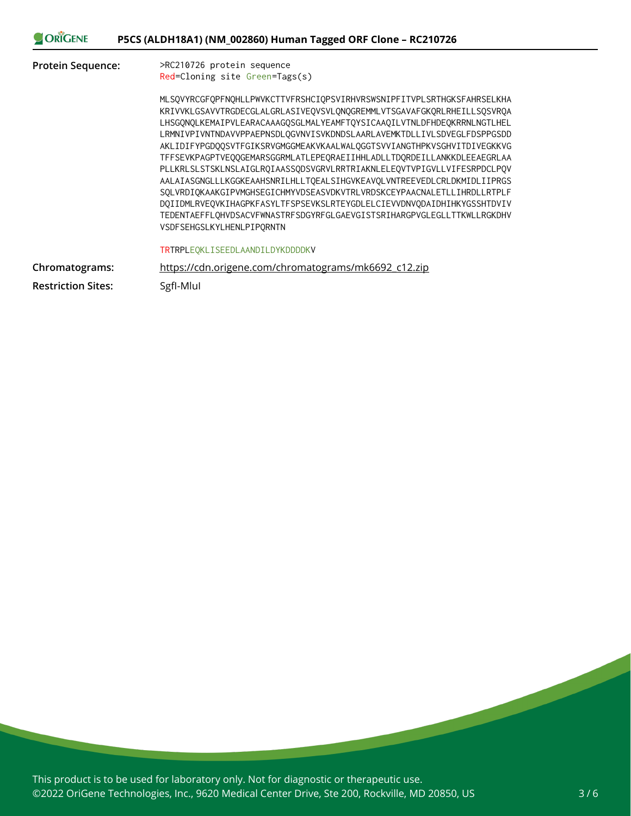| <b>ORIGENE</b>            | P5CS (ALDH18A1) (NM_002860) Human Tagged ORF Clone - RC210726                                                                                                                                                                                                                                                                                                                                                                                                                                                                                                                                                                                                                                                                                                                                                                                                           |
|---------------------------|-------------------------------------------------------------------------------------------------------------------------------------------------------------------------------------------------------------------------------------------------------------------------------------------------------------------------------------------------------------------------------------------------------------------------------------------------------------------------------------------------------------------------------------------------------------------------------------------------------------------------------------------------------------------------------------------------------------------------------------------------------------------------------------------------------------------------------------------------------------------------|
| <b>Protein Sequence:</b>  | >RC210726 protein sequence<br>Red=Cloning site Green=Tags(s)                                                                                                                                                                                                                                                                                                                                                                                                                                                                                                                                                                                                                                                                                                                                                                                                            |
|                           | MLSQVYRCGFQPFNQHLLPWVKCTTVFRSHCIQPSVIRHVRSWSNIPFITVPLSRTHGKSFAHRSELKHA<br>KRIVVKLGSAVVTRGDECGLALGRLASIVEQVSVLQNQGREMMLVTSGAVAFGKQRLRHEILLSQSVRQA<br>LHSGQNQLKEMAIPVLEARACAAAGQSGLMALYEAMFTQYSICAAQILVTNLDFHDEQKRRNLNGTLHEL<br>LRMNIVPIVNTNDAVVPPAEPNSDLOGVNVISVKDNDSLAARLAVEMKTDLLIVLSDVEGLFDSPPGSDD<br>AKLIDIFYPGDOOSVTFGIKSRVGMGGMEAKVKAALWALOGGTSVVIANGTHPKVSGHVITDIVEGKKVG<br>TFFSEVKPAGPTVEOOGEMARSGGRMLATLEPEORAEIIHHLADLLTDORDEILLANKKDLEEAEGRLAA<br>PLLKRLSLSTSKLNSLAIGLROIAASSODSVGRVLRRTRIAKNLELEOVTVPIGVLLVIFESRPDCLPOV<br>AALAIASGNGLLLKGGKEAAHSNRILHLLTOEALSIHGVKEAVOLVNTREEVEDLCRLDKMIDLIIPRGS<br>SOLVRDIOKAAKGIPVMGHSEGICHMYVDSEASVDKVTRLVRDSKCEYPAACNALETLLIHRDLLRTPLF<br>DQIIDMLRVEQVKIHAGPKFASYLTFSPSEVKSLRTEYGDLELCIEVVDNVQDAIDHIHKYGSSHTDVIV<br>TEDENTAEFFLQHVDSACVFWNASTRFSDGYRFGLGAEVGISTSRIHARGPVGLEGLLTTKWLLRGKDHV<br>VSDFSEHGSLKYLHENLPIPQRNTN |
|                           | <b>TRTRPLEOKLISEEDLAANDILDYKDDDDKV</b>                                                                                                                                                                                                                                                                                                                                                                                                                                                                                                                                                                                                                                                                                                                                                                                                                                  |
| Chromatograms:            | https://cdn.origene.com/chromatograms/mk6692_c12.zip                                                                                                                                                                                                                                                                                                                                                                                                                                                                                                                                                                                                                                                                                                                                                                                                                    |
| <b>Restriction Sites:</b> | Sgfl-Mlul                                                                                                                                                                                                                                                                                                                                                                                                                                                                                                                                                                                                                                                                                                                                                                                                                                                               |

This product is to be used for laboratory only. Not for diagnostic or therapeutic use. ©2022 OriGene Technologies, Inc., 9620 Medical Center Drive, Ste 200, Rockville, MD 20850, US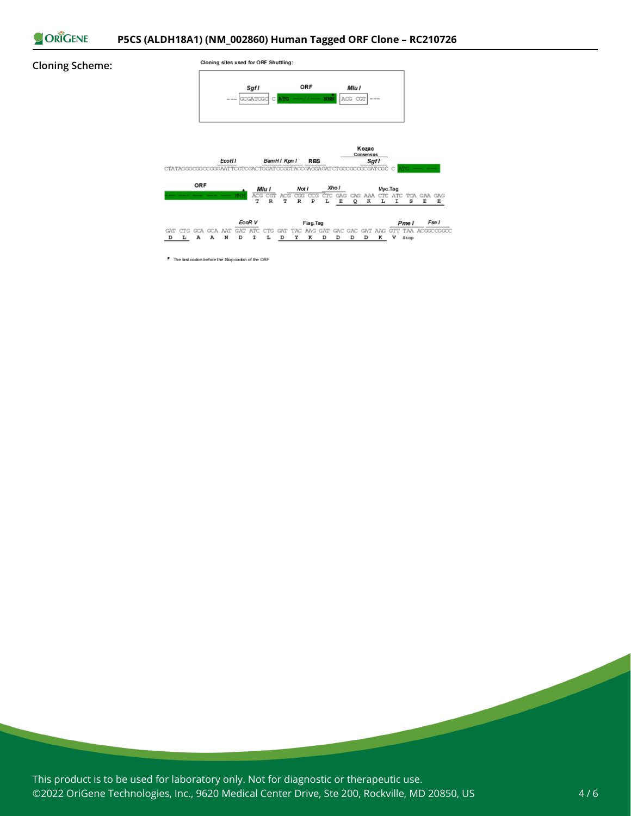

#### **Cloning Scheme:**



\* The last codon before the Stop codon of the ORF

This product is to be used for laboratory only. Not for diagnostic or therapeutic use. ©2022 OriGene Technologies, Inc., 9620 Medical Center Drive, Ste 200, Rockville, MD 20850, US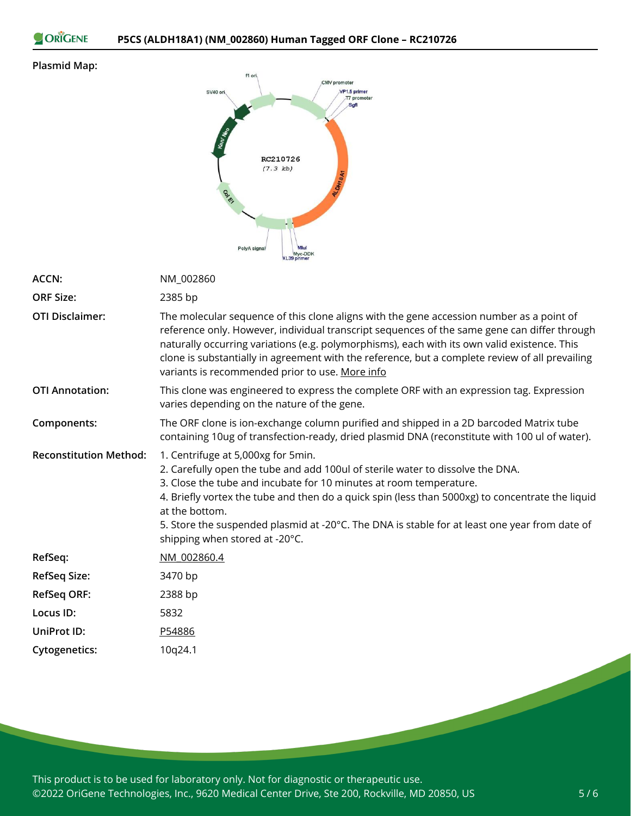ORIGENE

### **Plasmid Map:**



| ACCN:                         | NM_002860                                                                                                                                                                                                                                                                                                                                                                                                                                           |
|-------------------------------|-----------------------------------------------------------------------------------------------------------------------------------------------------------------------------------------------------------------------------------------------------------------------------------------------------------------------------------------------------------------------------------------------------------------------------------------------------|
| <b>ORF Size:</b>              | 2385 bp                                                                                                                                                                                                                                                                                                                                                                                                                                             |
| <b>OTI Disclaimer:</b>        | The molecular sequence of this clone aligns with the gene accession number as a point of<br>reference only. However, individual transcript sequences of the same gene can differ through<br>naturally occurring variations (e.g. polymorphisms), each with its own valid existence. This<br>clone is substantially in agreement with the reference, but a complete review of all prevailing<br>variants is recommended prior to use. More info      |
| <b>OTI Annotation:</b>        | This clone was engineered to express the complete ORF with an expression tag. Expression<br>varies depending on the nature of the gene.                                                                                                                                                                                                                                                                                                             |
| Components:                   | The ORF clone is ion-exchange column purified and shipped in a 2D barcoded Matrix tube<br>containing 10ug of transfection-ready, dried plasmid DNA (reconstitute with 100 ul of water).                                                                                                                                                                                                                                                             |
| <b>Reconstitution Method:</b> | 1. Centrifuge at 5,000xg for 5min.<br>2. Carefully open the tube and add 100ul of sterile water to dissolve the DNA.<br>3. Close the tube and incubate for 10 minutes at room temperature.<br>4. Briefly vortex the tube and then do a quick spin (less than 5000xg) to concentrate the liquid<br>at the bottom.<br>5. Store the suspended plasmid at -20°C. The DNA is stable for at least one year from date of<br>shipping when stored at -20°C. |
| RefSeq:                       | NM 002860.4                                                                                                                                                                                                                                                                                                                                                                                                                                         |
| <b>RefSeq Size:</b>           | 3470 bp                                                                                                                                                                                                                                                                                                                                                                                                                                             |
| <b>RefSeq ORF:</b>            | 2388 bp                                                                                                                                                                                                                                                                                                                                                                                                                                             |
| Locus ID:                     | 5832                                                                                                                                                                                                                                                                                                                                                                                                                                                |
| UniProt ID:                   | P54886                                                                                                                                                                                                                                                                                                                                                                                                                                              |
| <b>Cytogenetics:</b>          | 10q24.1                                                                                                                                                                                                                                                                                                                                                                                                                                             |
|                               |                                                                                                                                                                                                                                                                                                                                                                                                                                                     |

This product is to be used for laboratory only. Not for diagnostic or therapeutic use. ©2022 OriGene Technologies, Inc., 9620 Medical Center Drive, Ste 200, Rockville, MD 20850, US